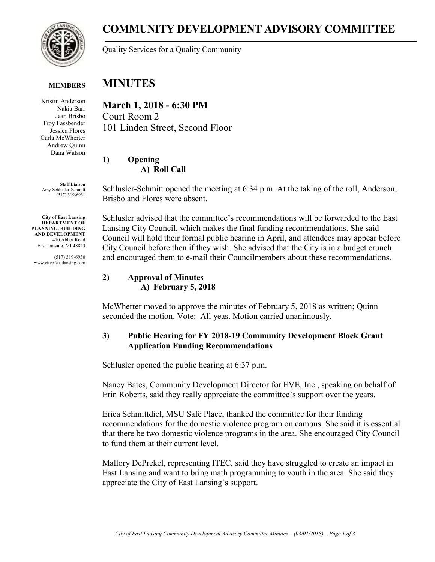

# **COMMUNITY DEVELOPMENT ADVISORY COMMITTEE**

Quality Services for a Quality Community

#### **MINUTES MEMBERS**

Kristin Anderson Nakia Barr Jean Brisbo Troy Fassbender Jessica Flores Carla McWherter Andrew Quinn Dana Watson

**Staff Liaison** Amy Schlusler-Schmitt (517) 319-6931

**City of East Lansing DEPARTMENT OF PLANNING, BUILDING AND DEVELOPMENT** 410 Abbot Road East Lansing, MI 48823

(517) 319-6930 www.cityofeastlansing.com

**March 1, 2018 - 6:30 PM** Court Room 2 101 Linden Street, Second Floor

# **1) Opening A) Roll Call**

Schlusler-Schmitt opened the meeting at 6:34 p.m. At the taking of the roll, Anderson, Brisbo and Flores were absent.

Schlusler advised that the committee's recommendations will be forwarded to the East Lansing City Council, which makes the final funding recommendations. She said Council will hold their formal public hearing in April, and attendees may appear before City Council before then if they wish. She advised that the City is in a budget crunch and encouraged them to e-mail their Councilmembers about these recommendations.

#### **2) Approval of Minutes A) February 5, 2018**

McWherter moved to approve the minutes of February 5, 2018 as written; Quinn seconded the motion. Vote: All yeas. Motion carried unanimously.

# **3) Public Hearing for FY 2018-19 Community Development Block Grant Application Funding Recommendations**

Schlusler opened the public hearing at 6:37 p.m.

Nancy Bates, Community Development Director for EVE, Inc., speaking on behalf of Erin Roberts, said they really appreciate the committee's support over the years.

Erica Schmittdiel, MSU Safe Place, thanked the committee for their funding recommendations for the domestic violence program on campus. She said it is essential that there be two domestic violence programs in the area. She encouraged City Council to fund them at their current level.

Mallory DePrekel, representing ITEC, said they have struggled to create an impact in East Lansing and want to bring math programming to youth in the area. She said they appreciate the City of East Lansing's support.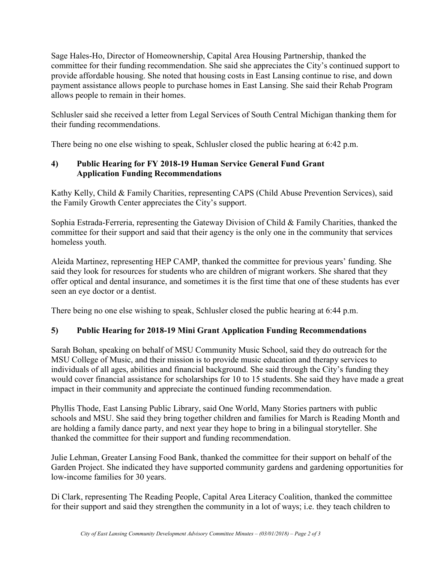Sage Hales-Ho, Director of Homeownership, Capital Area Housing Partnership, thanked the committee for their funding recommendation. She said she appreciates the City's continued support to provide affordable housing. She noted that housing costs in East Lansing continue to rise, and down payment assistance allows people to purchase homes in East Lansing. She said their Rehab Program allows people to remain in their homes.

Schlusler said she received a letter from Legal Services of South Central Michigan thanking them for their funding recommendations.

There being no one else wishing to speak, Schlusler closed the public hearing at 6:42 p.m.

# **4) Public Hearing for FY 2018-19 Human Service General Fund Grant Application Funding Recommendations**

Kathy Kelly, Child & Family Charities, representing CAPS (Child Abuse Prevention Services), said the Family Growth Center appreciates the City's support.

Sophia Estrada-Ferreria, representing the Gateway Division of Child & Family Charities, thanked the committee for their support and said that their agency is the only one in the community that services homeless youth.

Aleida Martinez, representing HEP CAMP, thanked the committee for previous years' funding. She said they look for resources for students who are children of migrant workers. She shared that they offer optical and dental insurance, and sometimes it is the first time that one of these students has ever seen an eye doctor or a dentist.

There being no one else wishing to speak, Schlusler closed the public hearing at 6:44 p.m.

# **5) Public Hearing for 2018-19 Mini Grant Application Funding Recommendations**

Sarah Bohan, speaking on behalf of MSU Community Music School, said they do outreach for the MSU College of Music, and their mission is to provide music education and therapy services to individuals of all ages, abilities and financial background. She said through the City's funding they would cover financial assistance for scholarships for 10 to 15 students. She said they have made a great impact in their community and appreciate the continued funding recommendation.

Phyllis Thode, East Lansing Public Library, said One World, Many Stories partners with public schools and MSU. She said they bring together children and families for March is Reading Month and are holding a family dance party, and next year they hope to bring in a bilingual storyteller. She thanked the committee for their support and funding recommendation.

Julie Lehman, Greater Lansing Food Bank, thanked the committee for their support on behalf of the Garden Project. She indicated they have supported community gardens and gardening opportunities for low-income families for 30 years.

Di Clark, representing The Reading People, Capital Area Literacy Coalition, thanked the committee for their support and said they strengthen the community in a lot of ways; i.e. they teach children to